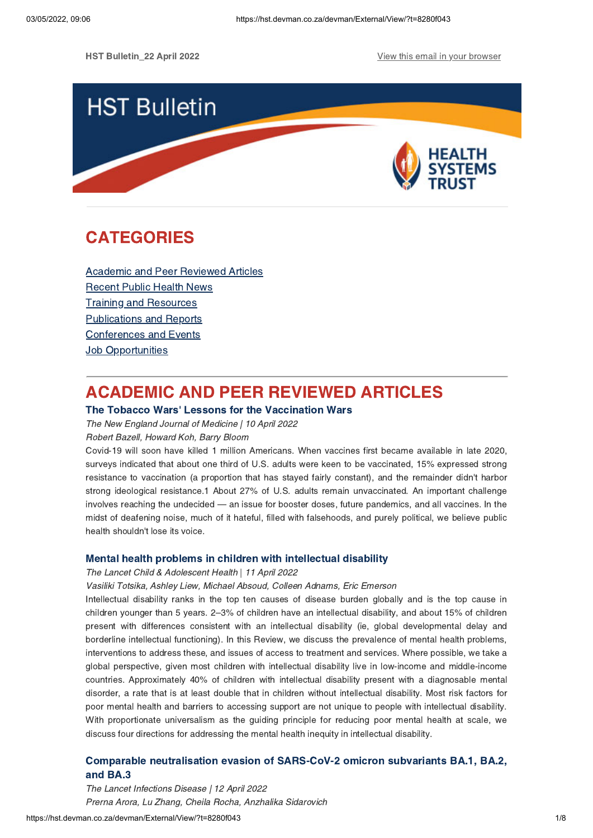

# **CATEGORIES** CATEGORIES<br>CATEGORIES<br>CATEGORIES

Academic and Peer [Reviewed](#page-0-0) Articles [Recent](#page-2-0) Public Health News Training and Resources [Publications](#page-6-0) and Reports [Conferences](#page-6-1) and Events **Job [Opportunities](#page-7-0)** 

### <span id="page-0-0"></span>**ACADEMIC AND PEER REVIEWED ARTICLES**

# The Tobacco Wars' Lessons for the Vaccination Wars<br>The New England Journal of Medicine | 10 April 2022

The New England Journal of Medicine | 10 April 2022

Robert Bazell, Howard Koh, Barry Bloom

Covid-19 will soon have killed 1 million Americans. When vaccines first became available in late 2020, surveys indicated that about one third of U.S. adults were keen to be vaccinated, 15% expressed strong resistance to vaccination (a proportion that has stayed fairly constant), and the remainder didn't harbor strong ideological resistance.1 About 27% of U.S. adults remain unvaccinated. An important challenge involves reaching the undecided — an issue for booster doses, future pandemics, and all vaccines. In the midst of deafening noise, much of it hateful, filled with falsehoods, and purely political, we believe public health shouldn't lose its voice.

Mental health problems in children with intellectual disability The Lancet Child & Adolescent Health | 11 April 2022

Vasiliki Totsika, Ashley Liew, Michael Absoud, Colleen Adnams, Eric Emerson

Intellectual disability ranks in the top ten causes of disease burden globally and is the top cause in children younger than 5 years. 2–3% of children have an intellectual disability, and about 15% of children present with differences consistent with an intellectual disability (ie, global developmental delay and borderline intellectual functioning). In this Review, we discuss the prevalence of mental health problems, interventions to address these, and issues of access to treatment and services. Where possible, we take a global perspective, given most children with intellectual disability live in low-income and middle-income countries. Approximately 40% of children with intellectual disability present with a diagnosable mental disorder, a rate that is at least double that in children without intellectual disability. Most risk factors for poor mental health and barriers to accessing support are not unique to people with intellectual disability. With proportionate universalism as the guiding principle for reducing poor mental health at scale, we discuss four directions for addressing the mental health inequity in intellectual disability.

# $\overline{\mathsf{and}\ \mathsf{BA}.3}$

The Lancet Infections Disease | 12 April 2022 Prerna Arora, Lu Zhang, Cheila Rocha, Anzhalika Sidarovich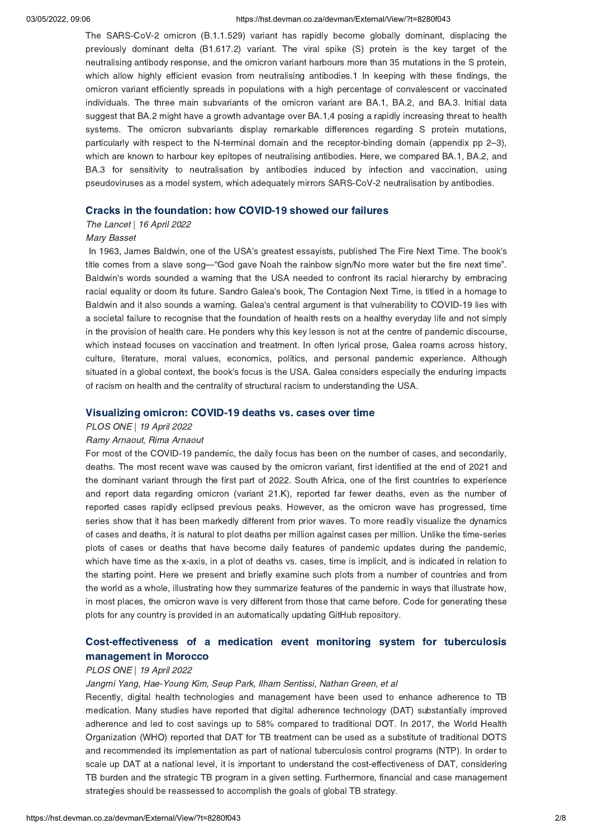### 03/05/2022, 09:06 https://hst.devman.co.za/devman/External/View/?t=8280f043

The SARS-CoV-2 omicron (B.1.1.529) variant has rapidly become globally dominant, displacing the previously dominant delta (B1.617.2) variant. The viral spike (S) protein is the key target of the neutralising antibody response, and the omicron variant harbours more than 35 mutations in the S protein, which allow highly efficient evasion from neutralising antibodies.1 In keeping with these findings, the omicron variant efficiently spreads in populations with a high percentage of convalescent or vaccinated individuals. The three main subvariants of the omicron variant are BA.1, BA.2, and BA.3. Initial data suggest that BA.2 might have a growth advantage over BA.1,4 posing a rapidly increasing threat to health systems. The omicron subvariants display remarkable differences regarding S protein mutations, particularly with respect to the N-terminal domain and the receptor-binding domain (appendix pp 2–3), which are known to harbour key epitopes of neutralising antibodies. Here, we compared BA.1, BA.2, and BA.3 for sensitivity to neutralisation by antibodies induced by infection and vaccination, using pseudoviruses as a model system, which adequately mirrors SARS-CoV-2 neutralisation by antibodies.

### Cracks in the foundation: how COVID-19 showed our failures The Lancet | 16 April 2022

### Mary Basset

In 1963, James Baldwin, one of the USA's greatest essayists, published The Fire Next Time. The book's title comes from a slave song—"God gave Noah the rainbow sign/No more water but the fire next time". Baldwin's words sounded a warning that the USA needed to confront its racial hierarchy by embracing racial equality or doom its future. Sandro Galea's book, The Contagion Next Time, is titled in a homage to Baldwin and it also sounds a warning. Galea's central argument is that vulnerability to COVID-19 lies with a societal failure to recognise that the foundation of health rests on a healthy everyday life and not simply in the provision of health care. He ponders why this key lesson is not at the centre of pandemic discourse, which instead focuses on vaccination and treatment. In often lyrical prose, Galea roams across history, culture, literature, moral values, economics, politics, and personal pandemic experience. Although situated in a global context, the book's focus is the USA. Galea considers especially the enduring impacts of racism on health and the centrality of structural racism to understanding the USA.

### Visualizing omicron: COVID-19 deaths vs. cases over time PLOS ONE | 19 April 2022

### Ramy Arnaout, Rima Arnaout

For most of the COVID-19 pandemic, the daily focus has been on the number of cases, and secondarily, deaths. The most recent wave was caused by the omicron variant, first identified at the end of 2021 and the dominant variant through the first part of 2022. South Africa, one of the first countries to experience and report data regarding omicron (variant 21.K), reported far fewer deaths, even as the number of reported cases rapidly eclipsed previous peaks. However, as the omicron wave has progressed, time series show that it has been markedly different from prior waves. To more readily visualize the dynamics of cases and deaths, it is natural to plot deaths per million against cases per million. Unlike the time-series plots of cases or deaths that have become daily features of pandemic updates during the pandemic, which have time as the x-axis, in a plot of deaths vs. cases, time is implicit, and is indicated in relation to the starting point. Here we present and briefly examine such plots from a number of countries and from the world as a whole, illustrating how they summarize features of the pandemic in ways that illustrate how, in most places, the omicron wave is very different from those that came before. Code for generating these plots for any country is provided in an automatically updating GitHub repository.

# [Cost-effectiveness](https://hst.devman.co.za/devman/external/?t=ad0d7101) of a medication event monitoring system for tuberculosis

### management in Morocco PLOS ONE | 19 April 2022

### Jangmi Yang, Hae-Young Kim, Seup Park, Ilham Sentissi, Nathan Green, et al

Recently, digital health technologies and management have been used to enhance adherence to TB medication. Many studies have reported that digital adherence technology (DAT) substantially improved adherence and led to cost savings up to 58% compared to traditional DOT. In 2017, the World Health Organization (WHO) reported that DAT for TB treatment can be used as a substitute of traditional DOTS and recommended its implementation as part of national tuberculosis control programs (NTP). In order to scale up DAT at a national level, it is important to understand the cost-effectiveness of DAT, considering TB burden and the strategic TB program in a given setting. Furthermore, financial and case management strategies should be reassessed to accomplish the goals of global TB strategy.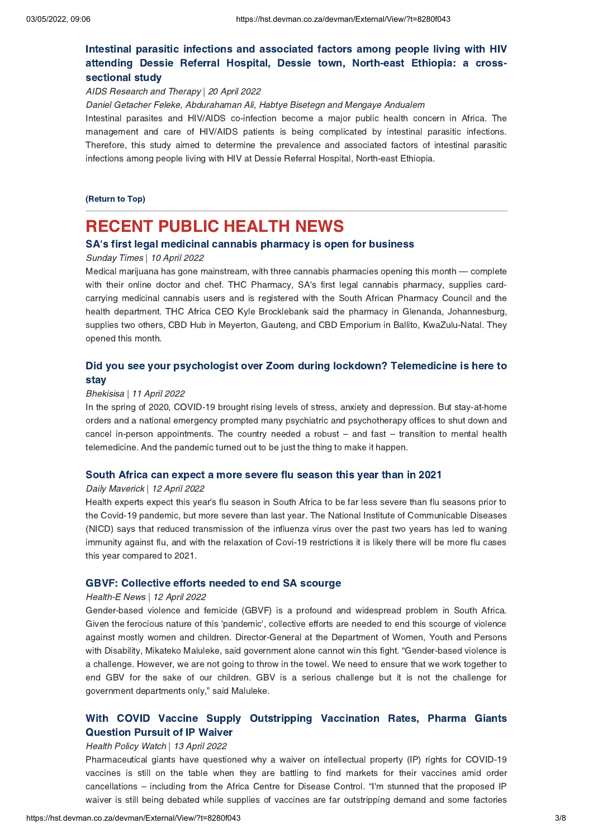# Intestinal parasitic infections and [associated](https://hst.devman.co.za/devman/external/?t=b6eba6e0) factors among people living with HIV attending Dessie Referral Hospital, Dessie town, North-east Ethiopia: a crosssectional study

sectional study AIDS Research and Therapy | 20 April 2022

Daniel Getacher Feleke, Abdurahaman Ali, Habtye Bisetegn and Mengaye Andualem

Intestinal parasites and HIV/AIDS co-infection become a major public health concern in Africa. The management and care of HIV/AIDS patients is being complicated by intestinal parasitic infections. Therefore, this study aimed to determine the prevalence and associated factors of intestinal parasitic infections among people living with HIV at Dessie Referral Hospital, North-east Ethiopia.

# (Return to Top)

### <span id="page-2-0"></span>**RECENT PUBLIC HEALTH NEWS**

# SA's first legal medicinal cannabis pharmacy is open for business<br>Sunday Times | 10 April 2022

### Sunday Times | 10 April 2022

Medical marijuana has gone mainstream, with three cannabis pharmacies opening this month — complete with their online doctor and chef. THC Pharmacy, SA's first legal cannabis pharmacy, supplies cardcarrying medicinal cannabis users and is registered with the South African Pharmacy Council and the health department. THC Africa CEO Kyle Brocklebank said the pharmacy in Glenanda, Johannesburg, supplies two others, CBD Hub in Meyerton, Gauteng, and CBD Emporium in Ballito, KwaZulu-Natal. They opened this month.

# $\mathsf{day}$

### stay Bhekisisa | 11 April 2022

In the spring of 2020, COVID-19 brought rising levels of stress, anxiety and depression. But stay-at-home orders and a national emergency prompted many psychiatric and psychotherapy offices to shut down and cancel in-person appointments. The country needed a robust – and fast – transition to mental health telemedicine. And the pandemic turned out to be just the thing to make it happen.

### South Africa can expect a more severe flu season this year than in 2021 Daily Maverick | 12 April 2022

Health experts expect this year's flu season in South Africa to be far less severe than flu seasons prior to the Covid-19 pandemic, but more severe than last year. The National Institute of Communicable Diseases (NICD) says that reduced transmission of the influenza virus over the past two years has led to waning immunity against flu, and with the relaxation of Covi-19 restrictions it is likely there will be more flu cases this year compared to 2021.

### GBVF: Collective efforts needed to end SA scourge Health-E News | 12 April 2022

Gender-based violence and femicide (GBVF) is a profound and widespread problem in South Africa. Given the ferocious nature of this 'pandemic', collective efforts are needed to end this scourge of violence against mostly women and children. Director-General at the Department of Women, Youth and Persons with Disability, Mikateko Maluleke, said government alone cannot win this fight. "Gender-based violence is a challenge. However, we are not going to throw in the towel. We need to ensure that we work together to end GBV for the sake of our children. GBV is a serious challenge but it is not the challenge for government departments only," said Maluleke.

# With COVID Vaccine Supply [Outstripping](https://hst.devman.co.za/devman/external/?t=4b5a61c7) Vaccination Rates, Pharma Giants Question Pursuit of IP Waiver

### with and India<br>Health Policy Watch | 13 April 2022

Pharmaceutical giants have guestioned why a waiver on intellectual property (IP) rights for COVID-19 vaccines is still on the table when they are battling to find markets for their vaccines amid order cancellations – including from the Africa Centre for Disease Control. "I'm stunned that the proposed IP waiver is still being debated while supplies of vaccines are far outstripping demand and some factories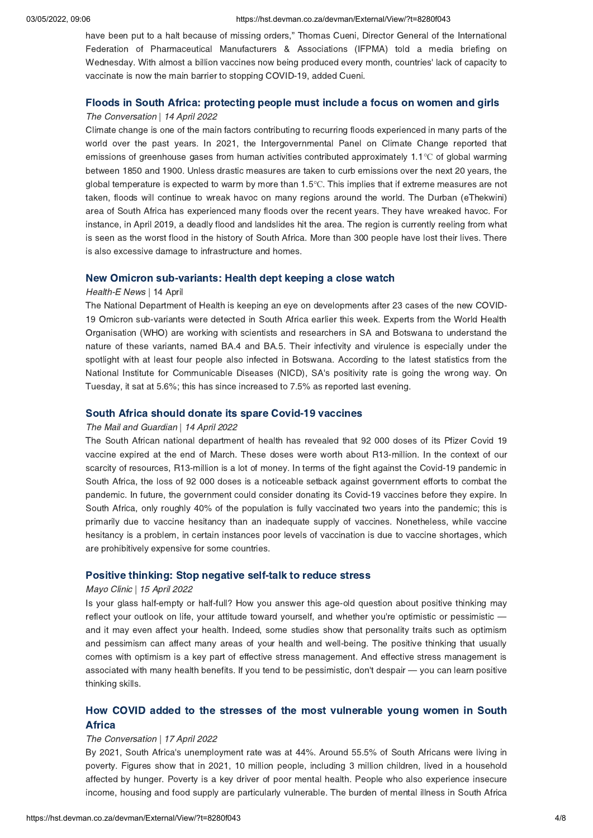have been put to a halt because of missing orders," Thomas Cueni, Director General of the International Federation of Pharmaceutical Manufacturers & Associations (IFPMA) told a media briefing on Wednesday. With almost a billion vaccines now being produced every month, countries' lack of capacity to vaccinate is now the main barrier to stopping COVID-19, added Cueni.

### Floods in South Africa: protecting people must include a focus on women and girls The Conversation | 14 April 2022

Climate change is one of the main factors contributing to recurring floods experienced in many parts of the world over the past years. In 2021, the Intergovernmental Panel on Climate Change reported that emissions of greenhouse gases from human activities contributed approximately 1.1℃ of global warming between 1850 and 1900. Unless drastic measures are taken to curb emissions over the next 20 years, the global temperature is expected to warm by more than 1.5℃. This implies that if extreme measures are not taken, floods will continue to wreak havoc on many regions around the world. The Durban (eThekwini) area of South Africa has experienced many floods over the recent years. They have wreaked havoc. For instance, in April 2019, a deadly flood and landslides hit the area. The region is currently reeling from what is seen as the worst flood in the history of South Africa. More than 300 people have lost their lives. There is also excessive damage to infrastructure and homes.

### Health-E News | 14 April

The National Department of Health is keeping an eye on developments after 23 cases of the new COVID-19 Omicron sub-variants were detected in South Africa earlier this week. Experts from the World Health Organisation (WHO) are working with scientists and researchers in SA and Botswana to understand the nature of these variants, named BA.4 and BA.5. Their infectivity and virulence is especially under the spotlight with at least four people also infected in Botswana. According to the latest statistics from the National Institute for Communicable Diseases (NICD), SA's positivity rate is going the wrong way. On Tuesday, it sat at 5.6%; this has since increased to 7.5% as reported last evening.

### The Mail and Guardian | 14 April 2022

The South African national department of health has revealed that 92 000 doses of its Pfizer Covid 19 vaccine expired at the end of March. These doses were worth about R13-million. In the context of our scarcity of resources, R13-million is a lot of money. In terms of the fight against the Covid-19 pandemic in South Africa, the loss of 92 000 doses is a noticeable setback against government efforts to combat the pandemic. In future, the government could consider donating its Covid-19 vaccines before they expire. In South Africa, only roughly 40% of the population is fully vaccinated two years into the pandemic; this is primarily due to vaccine hesitancy than an inadequate supply of vaccines. Nonetheless, while vaccine hesitancy is a problem, in certain instances poor levels of vaccination is due to vaccine shortages, which are prohibitively expensive for some countries.

### Positive thinking: Stop negative self-talk to reduce stress Mayo Clinic | 15 April 2022

Is your glass half-empty or half-full? How you answer this age-old question about positive thinking may reflect your outlook on life, your attitude toward yourself, and whether you're optimistic or pessimistic and it may even affect your health. Indeed, some studies show that personality traits such as optimism and pessimism can affect many areas of your health and well-being. The positive thinking that usually comes with optimism is a key part of effective stress management. And effective stress management is associated with many health benefits. If you tend to be pessimistic, don't despair — you can learn positive thinking skills.

# How Covid added to the stresses of the most [vulnerable](https://hst.devman.co.za/devman/external/?t=7bc71225) young women in South Africa

### Africa The Conversation | 17 April 2022

By 2021, South Africa's unemployment rate was at 44%. Around 55.5% of South Africans were living in poverty. Figures show that in 2021, 10 million people, including 3 million children, lived in a household affected by hunger. Poverty is a key driver of poor mental health. People who also experience insecure income, housing and food supply are particularly vulnerable. The burden of mental illness in South Africa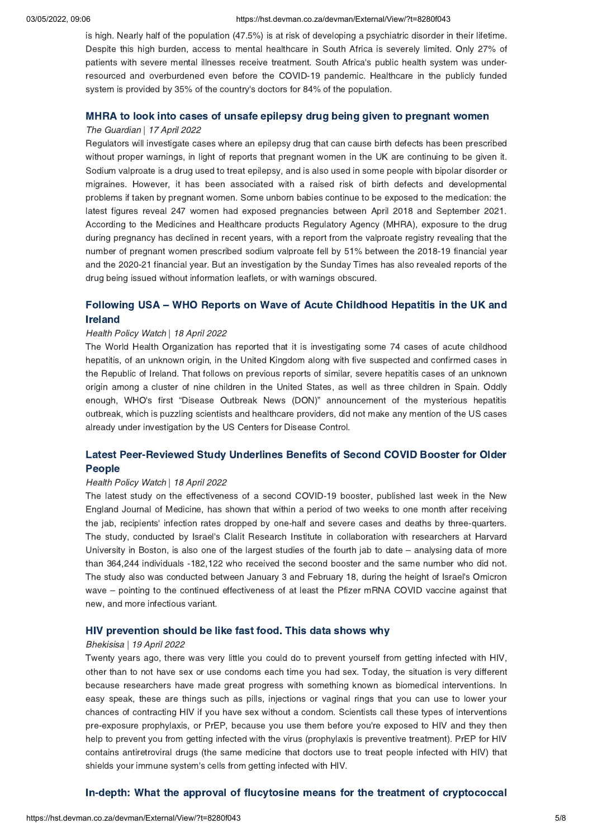### 03/05/2022, 09:06 https://hst.devman.co.za/devman/External/View/?t=8280f043

is high. Nearly half of the population (47.5%) is at risk of developing a psychiatric disorder in their lifetime. Despite this high burden, access to mental healthcare in South Africa is severely limited. Only 27% of patients with severe mental illnesses receive treatment. South Africa's public health system was underresourced and overburdened even before the COVID-19 pandemic. Healthcare in the publicly funded system is provided by 35% of the country's doctors for 84% of the population.

### MHRA to look into cases of unsafe epilepsy drug being given to pregnant women The Guardian | 17 April 2022

Regulators will investigate cases where an epilepsy drug that can cause birth defects has been prescribed without proper warnings, in light of reports that pregnant women in the UK are continuing to be given it. Sodium valproate is a drug used to treat epilepsy, and is also used in some people with bipolar disorder or migraines. However, it has been associated with a raised risk of birth defects and developmental problems if taken by pregnant women. Some unborn babies continue to be exposed to the medication: the latest figures reveal 247 women had exposed pregnancies between April 2018 and September 2021. According to the Medicines and Healthcare products Regulatory Agency (MHRA), exposure to the drug during pregnancy has declined in recent years, with a report from the valproate registry revealing that the number of pregnant women prescribed sodium valproate fell by 51% between the 2018-19 financial year and the 2020-21 financial year. But an investigation by the Sunday Times has also revealed reports of the drug being issued without information leaflets, or with warnings obscured.

# Following USA – WHO Reports on Wave of Acute [Childhood](https://hst.devman.co.za/devman/external/?t=533e9867) Hepatitis in the UK and

### Health Policy Watch | 18 April 2022

The World Health Organization has reported that it is investigating some 74 cases of acute childhood hepatitis, of an unknown origin, in the United Kingdom along with five suspected and confirmed cases in the Republic of Ireland. That follows on previous reports of similar, severe hepatitis cases of an unknown origin among a cluster of nine children in the United States, as well as three children in Spain. Oddly enough, WHO's first "Disease Outbreak News (DON)" announcement of the mysterious hepatitis outbreak, which is puzzling scientists and healthcare providers, did not make any mention of the US cases already under investigation by the US Centers for Disease Control.

# Latest [Peer-Reviewed](https://hst.devman.co.za/devman/external/?t=51738bca) Study Underlines Benefits of Second Covid-Covid-Covid-Covid-Covid-Covid-Covid-Covid-Covid<br>People

### People Health Policy Watch | 18 April 2022

The latest study on the effectiveness of a second COVID-19 booster, published last week in the New England Journal of Medicine, has shown that within a period of two weeks to one month after receiving the jab, recipients' infection rates dropped by one-half and severe cases and deaths by three-quarters. The study, conducted by Israel's Clalit Research Institute in collaboration with researchers at Harvard University in Boston, is also one of the largest studies of the fourth jab to date – analysing data of more than 364,244 individuals -182,122 who received the second booster and the same number who did not. The study also was conducted between January 3 and February 18, during the height of Israel's Omicron wave – pointing to the continued effectiveness of at least the Pfizer mRNA COVID vaccine against that new, and more infectious variant.

### HIV prevention should be like fast food. This data shows why Bhekisisa | 19 April 2022

Twenty years ago, there was very little you could do to prevent yourself from getting infected with HIV, other than to not have sex or use condoms each time you had sex. Today, the situation is very different because researchers have made great progress with something known as biomedical interventions. In easy speak, these are things such as pills, injections or vaginal rings that you can use to lower your chances of contracting HIV if you have sex without a condom. Scientists call these types of interventions pre-exposure prophylaxis, or PrEP, because you use them before you're exposed to HIV and they then help to prevent you from getting infected with the virus (prophylaxis is preventive treatment). PrEP for HIV contains antiretroviral drugs (the same medicine that doctors use to treat people infected with HIV) that shields your immune system's cells from getting infected with HIV.

# In-depth: What the approval of  $f$  fluctuation means for the treatment of [cryptococcal](https://hst.devman.co.za/devman/external/?t=1035cd0c)led  $f$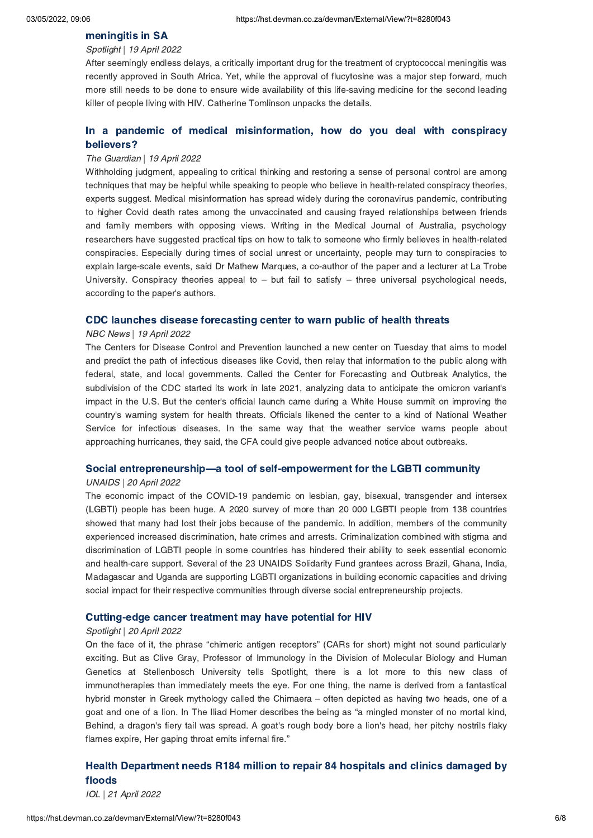### Spotlight | 19 April 2022

After seemingly endless delays, a critically important drug for the treatment of cryptococcal meningitis was recently approved in South Africa. Yet, while the approval of flucytosine was a major step forward, much more still needs to be done to ensure wide availability of this life-saving medicine for the second leading killer of people living with HIV. Catherine Tomlinson unpacks the details.

# In a pandemic of medical [misinformation,](https://hst.devman.co.za/devman/external/?t=1a1401eb) how do you deal with conspiracy

### believers? The Guardian | 19 April 2022

Withholding judgment, appealing to critical thinking and restoring a sense of personal control are among techniques that may be helpful while speaking to people who believe in health-related conspiracy theories, experts suggest. Medical misinformation has spread widely during the coronavirus pandemic, contributing to higher Covid death rates among the unvaccinated and causing frayed relationships between friends and family members with opposing views. Writing in the Medical Journal of Australia, psychology researchers have suggested practical tips on how to talk to someone who firmly believes in health-related conspiracies. Especially during times of social unrest or uncertainty, people may turn to conspiracies to explain large-scale events, said Dr Mathew Marques, a co-author of the paper and a lecturer at La Trobe University. Conspiracy theories appeal to  $-$  but fail to satisfy  $-$  three universal psychological needs, according to the paper's authors.

### NBC News | 19 April 2022

The Centers for Disease Control and Prevention launched a new center on Tuesday that aims to model and predict the path of infectious diseases like Covid, then relay that information to the public along with federal, state, and local governments. Called the Center for Forecasting and Outbreak Analytics, the subdivision of the CDC started its work in late 2021, analyzing data to anticipate the omicron variant's impact in the U.S. But the center's official launch came during a White House summit on improving the country's warning system for health threats. Officials likened the center to a kind of National Weather Service for infectious diseases. In the same way that the weather service warns people about approaching hurricanes, they said, the CFA could give people advanced notice about outbreaks.

### Social entrepreneurship[—](https://hst.devman.co.za/devman/external/?t=99f01749)a tool of self-empowerment for the LGBTI community

### UNAIDS | 20 April 2022

The economic impact of the COVID-19 pandemic on lesbian, gay, bisexual, transgender and intersex (LGBTI) people has been huge. A 2020 survey of more than 20 000 LGBTI people from 138 countries showed that many had lost their jobs because of the pandemic. In addition, members of the community experienced increased discrimination, hate crimes and arrests. Criminalization combined with stigma and discrimination of LGBTI people in some countries has hindered their ability to seek essential economic and health-care support. Several of the 23 UNAIDS Solidarity Fund grantees across Brazil, Ghana, India, Madagascar and Uganda are supporting LGBTI organizations in building economic capacities and driving social impact for their respective communities through diverse social entrepreneurship projects.

### Cutting-edge cancer treatment may have potential for HIV Spotlight | 20 April 2022

On the face of it, the phrase "chimeric antigen receptors" (CARs for short) might not sound particularly exciting. But as Clive Gray, Professor of Immunology in the Division of Molecular Biology and Human Genetics at Stellenbosch University tells Spotlight, there is a lot more to this new class of immunotherapies than immediately meets the eye. For one thing, the name is derived from a fantastical hybrid monster in Greek mythology called the Chimaera – often depicted as having two heads, one of a goat and one of a lion. In The Iliad Homer describes the being as "a mingled monster of no mortal kind, Behind, a dragon's fiery tail was spread. A goat's rough body bore a lion's head, her pitchy nostrils flaky flames expire, Her gaping throat emits infernal fire."

# $\mathsf{floods}$

IOL | 21 April 2022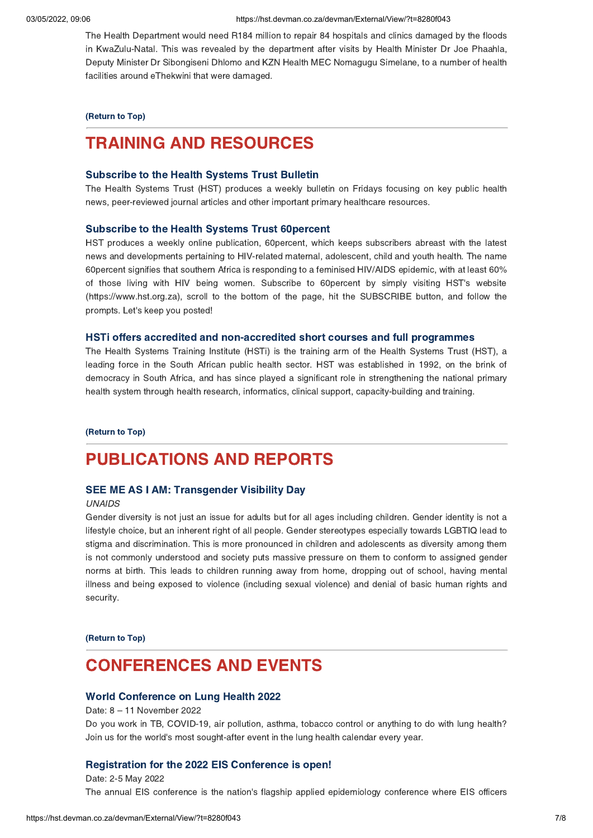The Health Department would need R184 million to repair 84 hospitals and clinics damaged by the floods in KwaZulu-Natal. This was revealed by the department after visits by Health Minister Dr Joe Phaahla, Deputy Minister Dr Sibongiseni Dhlomo and KZN Health MEC Nomagugu Simelane, to a number of health facilities around eThekwini that were damaged.

## (Return to Top)

### <span id="page-6-0"></span>**TRAINING AND RESOURCES**

### Subscribe to the Health Systems Trust Bulletin

Subscribe to the Health Systems Trust Bulletin The Health Systems Trust (HST) produces a weekly bulletin on Fridays focusing on key public health news, peer-reviewed journal articles and other important primary healthcare resources.

Subscribe to the Health Systems Trust 60percent HST produces a weekly online publication, 60percent, which keeps subscribers abreast with the latest news and developments pertaining to HIV-related maternal, adolescent, child and youth health. The name 60percent signifies that southern Africa is responding to a feminised HIV/AIDS epidemic, with at least 60% of those living with HIV being women. Subscribe to 60percent by simply visiting HST's website (https://www.hst.org.za), scroll to the bottom of the page, hit the SUBSCRIBE button, and follow the prompts. Let's keep you posted!

The Health Systems Training Institute (HSTi) is the training arm of the Health Systems Trust (HST), a leading force in the South African public health sector. HST was established in 1992, on the brink of democracy in South Africa, and has since played a significant role in strengthening the national primary health system through health research, informatics, clinical support, capacity-building and training.

 $\overline{\phantom{a}}$ 

### **PUBLICATIONS AND REPORTS**

### **SEE ME AS I AM: Transgender Visibility Day** SEE ME AS I AM: Transgender Visibility Day

### UNAIDS

Gender diversity is not just an issue for adults but for all ages including children. Gender identity is not a lifestyle choice, but an inherent right of all people. Gender stereotypes especially towards LGBTIQ lead to stigma and discrimination. This is more pronounced in children and adolescents as diversity among them is not commonly understood and society puts massive pressure on them to conform to assigned gender norms at birth. This leads to children running away from home, dropping out of school, having mental illness and being exposed to violence (including sexual violence) and denial of basic human rights and security.

(Return to Top)

### <span id="page-6-1"></span>**CONFERENCES AND EVENTS**

### World Conference on Lung Health 2022

World Conference on Lung Health 2022 Date: 8 – 11 November 2022 Do you work in TB, COVID-19, air pollution, asthma, tobacco control or anything to do with lung health? Join us for the world's most sought-after event in the lung health calendar every year.

Pate: 2-5 May 2022 The annual EIS conference is the nation's flagship applied epidemiology conference where EIS officers